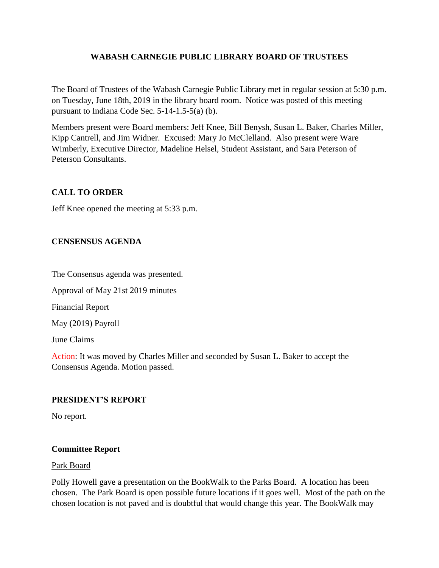## **WABASH CARNEGIE PUBLIC LIBRARY BOARD OF TRUSTEES**

The Board of Trustees of the Wabash Carnegie Public Library met in regular session at 5:30 p.m. on Tuesday, June 18th, 2019 in the library board room. Notice was posted of this meeting pursuant to Indiana Code Sec. 5-14-1.5-5(a) (b).

Members present were Board members: Jeff Knee, Bill Benysh, Susan L. Baker, Charles Miller, Kipp Cantrell, and Jim Widner. Excused: Mary Jo McClelland. Also present were Ware Wimberly, Executive Director, Madeline Helsel, Student Assistant, and Sara Peterson of Peterson Consultants.

# **CALL TO ORDER**

Jeff Knee opened the meeting at 5:33 p.m.

# **CENSENSUS AGENDA**

The Consensus agenda was presented.

Approval of May 21st 2019 minutes

Financial Report

May (2019) Payroll

June Claims

Action: It was moved by Charles Miller and seconded by Susan L. Baker to accept the Consensus Agenda. Motion passed.

## **PRESIDENT'S REPORT**

No report.

## **Committee Report**

#### Park Board

Polly Howell gave a presentation on the BookWalk to the Parks Board. A location has been chosen. The Park Board is open possible future locations if it goes well. Most of the path on the chosen location is not paved and is doubtful that would change this year. The BookWalk may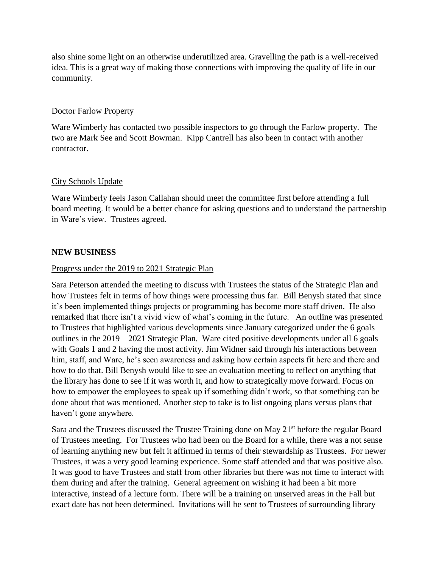also shine some light on an otherwise underutilized area. Gravelling the path is a well-received idea. This is a great way of making those connections with improving the quality of life in our community.

#### Doctor Farlow Property

Ware Wimberly has contacted two possible inspectors to go through the Farlow property. The two are Mark See and Scott Bowman. Kipp Cantrell has also been in contact with another contractor.

## City Schools Update

Ware Wimberly feels Jason Callahan should meet the committee first before attending a full board meeting. It would be a better chance for asking questions and to understand the partnership in Ware's view. Trustees agreed.

#### **NEW BUSINESS**

#### Progress under the 2019 to 2021 Strategic Plan

Sara Peterson attended the meeting to discuss with Trustees the status of the Strategic Plan and how Trustees felt in terms of how things were processing thus far. Bill Benysh stated that since it's been implemented things projects or programming has become more staff driven. He also remarked that there isn't a vivid view of what's coming in the future. An outline was presented to Trustees that highlighted various developments since January categorized under the 6 goals outlines in the 2019 – 2021 Strategic Plan. Ware cited positive developments under all 6 goals with Goals 1 and 2 having the most activity. Jim Widner said through his interactions between him, staff, and Ware, he's seen awareness and asking how certain aspects fit here and there and how to do that. Bill Benysh would like to see an evaluation meeting to reflect on anything that the library has done to see if it was worth it, and how to strategically move forward. Focus on how to empower the employees to speak up if something didn't work, so that something can be done about that was mentioned. Another step to take is to list ongoing plans versus plans that haven't gone anywhere.

Sara and the Trustees discussed the Trustee Training done on May  $21<sup>st</sup>$  before the regular Board of Trustees meeting. For Trustees who had been on the Board for a while, there was a not sense of learning anything new but felt it affirmed in terms of their stewardship as Trustees. For newer Trustees, it was a very good learning experience. Some staff attended and that was positive also. It was good to have Trustees and staff from other libraries but there was not time to interact with them during and after the training. General agreement on wishing it had been a bit more interactive, instead of a lecture form. There will be a training on unserved areas in the Fall but exact date has not been determined. Invitations will be sent to Trustees of surrounding library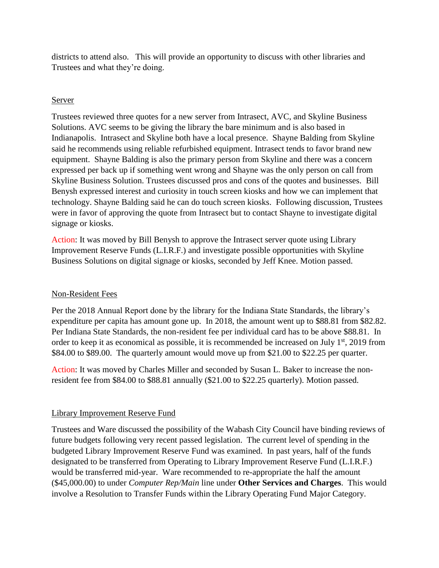districts to attend also. This will provide an opportunity to discuss with other libraries and Trustees and what they're doing.

# Server

Trustees reviewed three quotes for a new server from Intrasect, AVC, and Skyline Business Solutions. AVC seems to be giving the library the bare minimum and is also based in Indianapolis. Intrasect and Skyline both have a local presence. Shayne Balding from Skyline said he recommends using reliable refurbished equipment. Intrasect tends to favor brand new equipment. Shayne Balding is also the primary person from Skyline and there was a concern expressed per back up if something went wrong and Shayne was the only person on call from Skyline Business Solution. Trustees discussed pros and cons of the quotes and businesses. Bill Benysh expressed interest and curiosity in touch screen kiosks and how we can implement that technology. Shayne Balding said he can do touch screen kiosks. Following discussion, Trustees were in favor of approving the quote from Intrasect but to contact Shayne to investigate digital signage or kiosks.

Action: It was moved by Bill Benysh to approve the Intrasect server quote using Library Improvement Reserve Funds (L.I.R.F.) and investigate possible opportunities with Skyline Business Solutions on digital signage or kiosks, seconded by Jeff Knee. Motion passed.

## Non-Resident Fees

Per the 2018 Annual Report done by the library for the Indiana State Standards, the library's expenditure per capita has amount gone up. In 2018, the amount went up to \$88.81 from \$82.82. Per Indiana State Standards, the non-resident fee per individual card has to be above \$88.81. In order to keep it as economical as possible, it is recommended be increased on July  $1<sup>st</sup>$ , 2019 from \$84.00 to \$89.00. The quarterly amount would move up from \$21.00 to \$22.25 per quarter.

Action: It was moved by Charles Miller and seconded by Susan L. Baker to increase the nonresident fee from \$84.00 to \$88.81 annually (\$21.00 to \$22.25 quarterly). Motion passed.

# Library Improvement Reserve Fund

Trustees and Ware discussed the possibility of the Wabash City Council have binding reviews of future budgets following very recent passed legislation. The current level of spending in the budgeted Library Improvement Reserve Fund was examined. In past years, half of the funds designated to be transferred from Operating to Library Improvement Reserve Fund (L.I.R.F.) would be transferred mid-year. Ware recommended to re-appropriate the half the amount (\$45,000.00) to under *Computer Rep/Main* line under **Other Services and Charges**. This would involve a Resolution to Transfer Funds within the Library Operating Fund Major Category.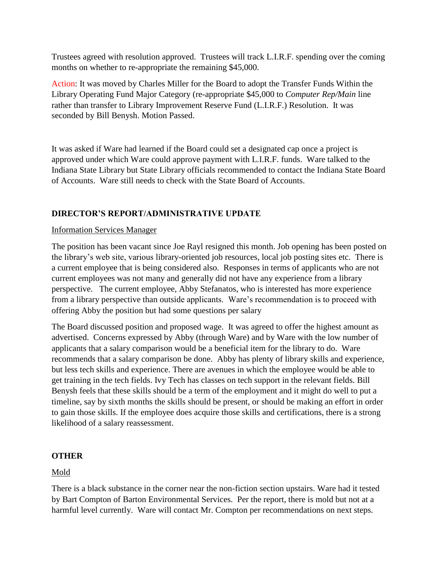Trustees agreed with resolution approved. Trustees will track L.I.R.F. spending over the coming months on whether to re-appropriate the remaining \$45,000.

Action: It was moved by Charles Miller for the Board to adopt the Transfer Funds Within the Library Operating Fund Major Category (re-appropriate \$45,000 to *Computer Rep/Main* line rather than transfer to Library Improvement Reserve Fund (L.I.R.F.) Resolution. It was seconded by Bill Benysh. Motion Passed.

It was asked if Ware had learned if the Board could set a designated cap once a project is approved under which Ware could approve payment with L.I.R.F. funds. Ware talked to the Indiana State Library but State Library officials recommended to contact the Indiana State Board of Accounts. Ware still needs to check with the State Board of Accounts.

# **DIRECTOR'S REPORT/ADMINISTRATIVE UPDATE**

#### Information Services Manager

The position has been vacant since Joe Rayl resigned this month. Job opening has been posted on the library's web site, various library-oriented job resources, local job posting sites etc. There is a current employee that is being considered also. Responses in terms of applicants who are not current employees was not many and generally did not have any experience from a library perspective. The current employee, Abby Stefanatos, who is interested has more experience from a library perspective than outside applicants. Ware's recommendation is to proceed with offering Abby the position but had some questions per salary

The Board discussed position and proposed wage. It was agreed to offer the highest amount as advertised. Concerns expressed by Abby (through Ware) and by Ware with the low number of applicants that a salary comparison would be a beneficial item for the library to do. Ware recommends that a salary comparison be done. Abby has plenty of library skills and experience, but less tech skills and experience. There are avenues in which the employee would be able to get training in the tech fields. Ivy Tech has classes on tech support in the relevant fields. Bill Benysh feels that these skills should be a term of the employment and it might do well to put a timeline, say by sixth months the skills should be present, or should be making an effort in order to gain those skills. If the employee does acquire those skills and certifications, there is a strong likelihood of a salary reassessment.

## **OTHER**

## Mold

There is a black substance in the corner near the non-fiction section upstairs. Ware had it tested by Bart Compton of Barton Environmental Services. Per the report, there is mold but not at a harmful level currently. Ware will contact Mr. Compton per recommendations on next steps.